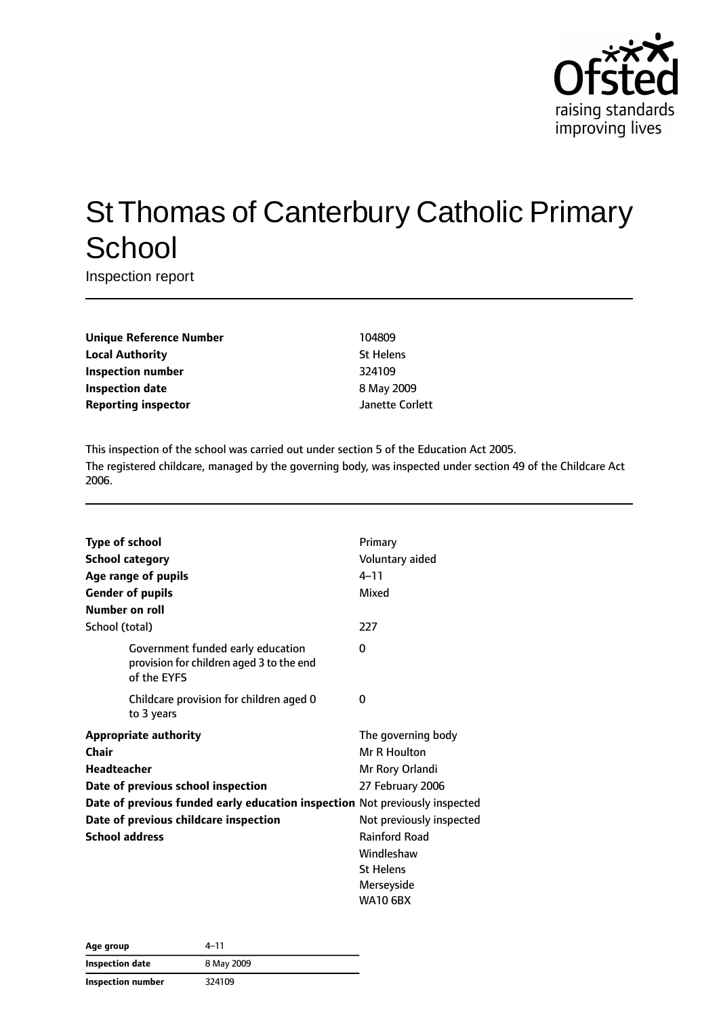

# St Thomas of Canterbury Catholic Primary **School**

Inspection report

| <b>Unique Reference Number</b> |
|--------------------------------|
| <b>Local Authority</b>         |
| Inspection number              |
| <b>Inspection date</b>         |
| <b>Reporting inspector</b>     |

**Unique Reference Number** 104809 **St Helens Inspection number** 324109 **Inspection date** 8 May 2009 **Reporting inspector** Janette Corlett

This inspection of the school was carried out under section 5 of the Education Act 2005. The registered childcare, managed by the governing body, was inspected under section 49 of the Childcare Act 2006.

| <b>Type of school</b> |                                                                                              | Primary                  |
|-----------------------|----------------------------------------------------------------------------------------------|--------------------------|
|                       | <b>School category</b>                                                                       | Voluntary aided          |
|                       | Age range of pupils                                                                          | $4 - 11$                 |
|                       | <b>Gender of pupils</b>                                                                      | Mixed                    |
| Number on roll        |                                                                                              |                          |
| School (total)        |                                                                                              | 227                      |
|                       | Government funded early education<br>provision for children aged 3 to the end<br>of the EYFS | 0                        |
|                       | Childcare provision for children aged 0<br>to 3 years                                        | 0                        |
|                       | <b>Appropriate authority</b>                                                                 | The governing body       |
| Chair                 |                                                                                              | Mr R Houlton             |
| <b>Headteacher</b>    |                                                                                              | Mr Rory Orlandi          |
|                       | Date of previous school inspection                                                           | 27 February 2006         |
|                       | Date of previous funded early education inspection Not previously inspected                  |                          |
|                       | Date of previous childcare inspection                                                        | Not previously inspected |
| <b>School address</b> |                                                                                              | Rainford Road            |
|                       |                                                                                              | Windleshaw               |
|                       |                                                                                              | <b>St Helens</b>         |
|                       |                                                                                              | Merseyside               |
|                       |                                                                                              | <b>WA10 6BX</b>          |

| Age group         | 4–11       |  |
|-------------------|------------|--|
| Inspection date   | 8 May 2009 |  |
| Inspection number | 324109     |  |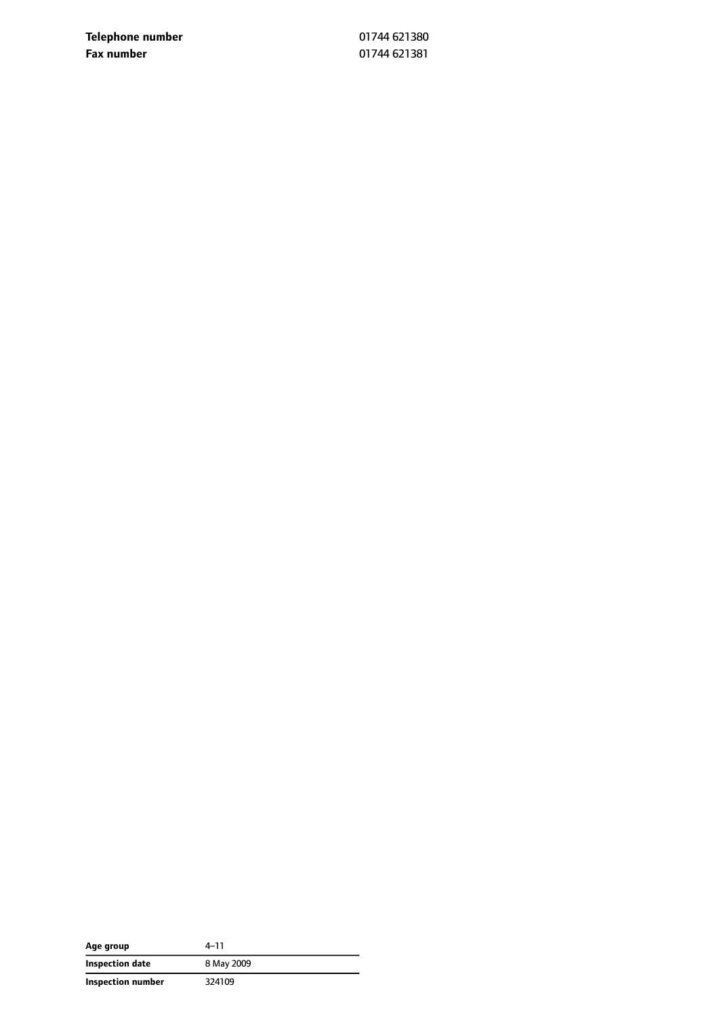**Telephone number** 01744 621380 **Fax number** 01744 621381

| Age group         | 4–11       |
|-------------------|------------|
| Inspection date   | 8 May 2009 |
| Inspection number | 324109     |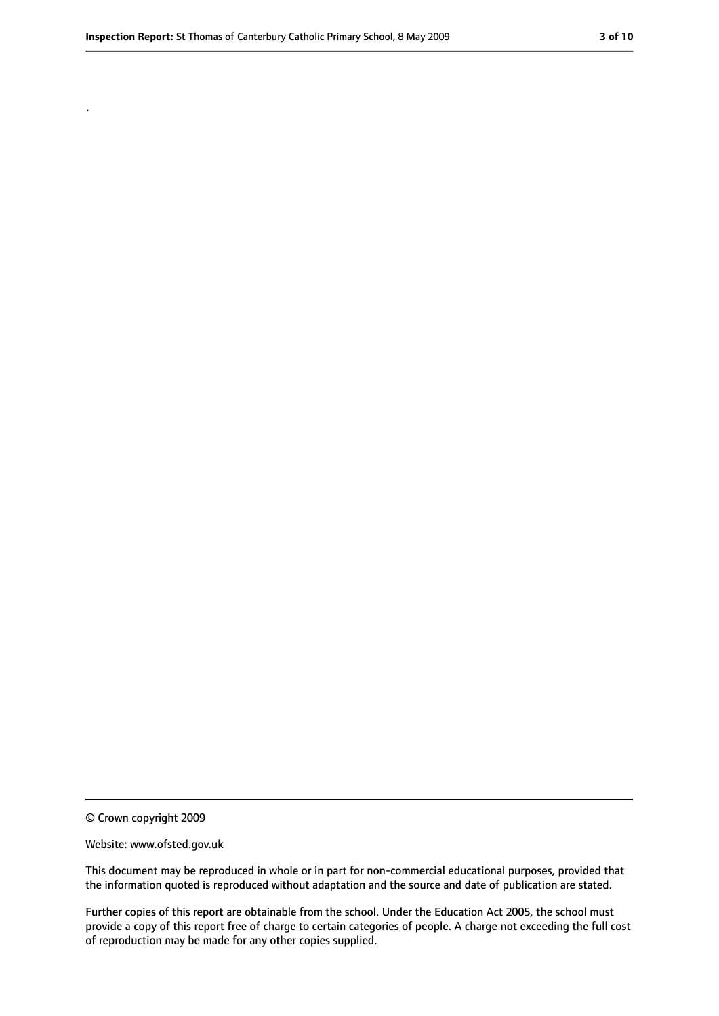.

#### Website: www.ofsted.gov.uk

This document may be reproduced in whole or in part for non-commercial educational purposes, provided that the information quoted is reproduced without adaptation and the source and date of publication are stated.

Further copies of this report are obtainable from the school. Under the Education Act 2005, the school must provide a copy of this report free of charge to certain categories of people. A charge not exceeding the full cost of reproduction may be made for any other copies supplied.

<sup>©</sup> Crown copyright 2009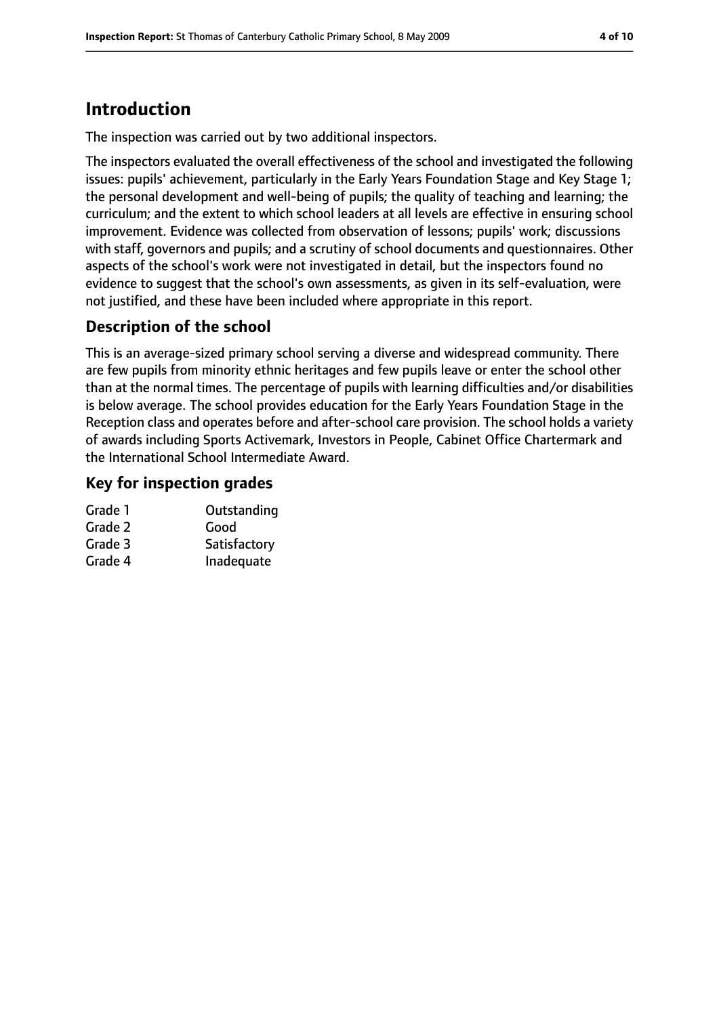## **Introduction**

The inspection was carried out by two additional inspectors.

The inspectors evaluated the overall effectiveness of the school and investigated the following issues: pupils' achievement, particularly in the Early Years Foundation Stage and Key Stage 1; the personal development and well-being of pupils; the quality of teaching and learning; the curriculum; and the extent to which school leaders at all levels are effective in ensuring school improvement. Evidence was collected from observation of lessons; pupils' work; discussions with staff, governors and pupils; and a scrutiny of school documents and questionnaires. Other aspects of the school's work were not investigated in detail, but the inspectors found no evidence to suggest that the school's own assessments, as given in its self-evaluation, were not justified, and these have been included where appropriate in this report.

### **Description of the school**

This is an average-sized primary school serving a diverse and widespread community. There are few pupils from minority ethnic heritages and few pupils leave or enter the school other than at the normal times. The percentage of pupils with learning difficulties and/or disabilities is below average. The school provides education for the Early Years Foundation Stage in the Reception class and operates before and after-school care provision. The school holds a variety of awards including Sports Activemark, Investors in People, Cabinet Office Chartermark and the International School Intermediate Award.

### **Key for inspection grades**

| Outstanding  |
|--------------|
| Good         |
| Satisfactory |
| Inadequate   |
|              |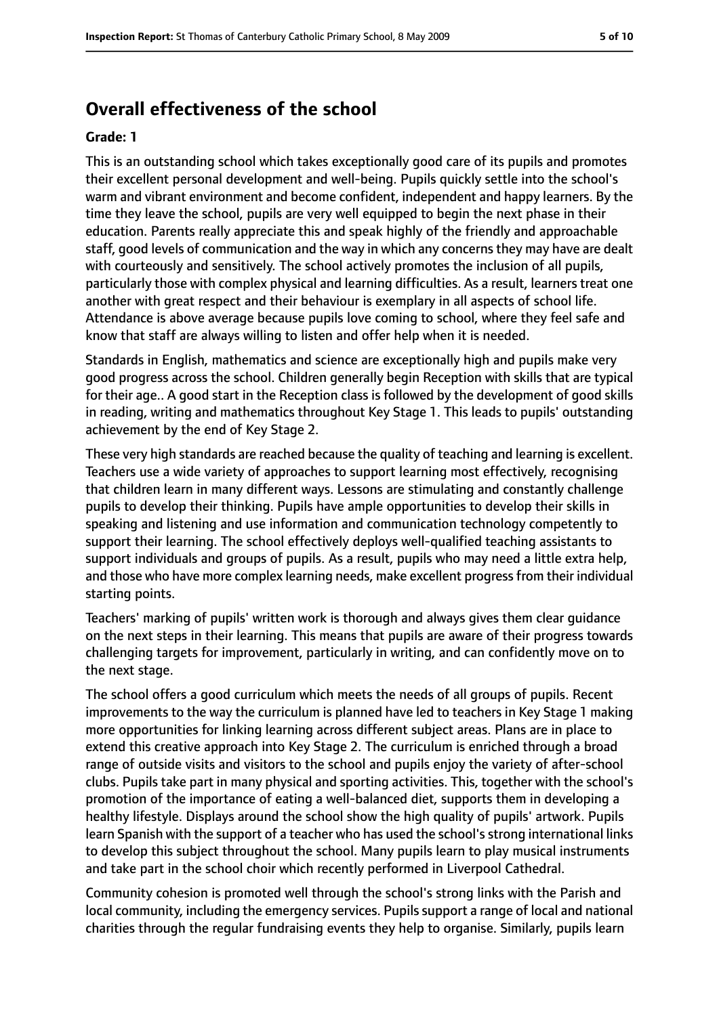### **Overall effectiveness of the school**

#### **Grade: 1**

This is an outstanding school which takes exceptionally good care of its pupils and promotes their excellent personal development and well-being. Pupils quickly settle into the school's warm and vibrant environment and become confident, independent and happy learners. By the time they leave the school, pupils are very well equipped to begin the next phase in their education. Parents really appreciate this and speak highly of the friendly and approachable staff, good levels of communication and the way in which any concerns they may have are dealt with courteously and sensitively. The school actively promotes the inclusion of all pupils, particularly those with complex physical and learning difficulties. As a result, learners treat one another with great respect and their behaviour is exemplary in all aspects of school life. Attendance is above average because pupils love coming to school, where they feel safe and know that staff are always willing to listen and offer help when it is needed.

Standards in English, mathematics and science are exceptionally high and pupils make very good progress across the school. Children generally begin Reception with skills that are typical for their age.. A good start in the Reception class is followed by the development of good skills in reading, writing and mathematics throughout Key Stage 1. This leads to pupils' outstanding achievement by the end of Key Stage 2.

These very high standards are reached because the quality of teaching and learning is excellent. Teachers use a wide variety of approaches to support learning most effectively, recognising that children learn in many different ways. Lessons are stimulating and constantly challenge pupils to develop their thinking. Pupils have ample opportunities to develop their skills in speaking and listening and use information and communication technology competently to support their learning. The school effectively deploys well-qualified teaching assistants to support individuals and groups of pupils. As a result, pupils who may need a little extra help, and those who have more complex learning needs, make excellent progress from their individual starting points.

Teachers' marking of pupils' written work is thorough and always gives them clear guidance on the next steps in their learning. This means that pupils are aware of their progress towards challenging targets for improvement, particularly in writing, and can confidently move on to the next stage.

The school offers a good curriculum which meets the needs of all groups of pupils. Recent improvements to the way the curriculum is planned have led to teachers in Key Stage 1 making more opportunities for linking learning across different subject areas. Plans are in place to extend this creative approach into Key Stage 2. The curriculum is enriched through a broad range of outside visits and visitors to the school and pupils enjoy the variety of after-school clubs. Pupils take part in many physical and sporting activities. This, together with the school's promotion of the importance of eating a well-balanced diet, supports them in developing a healthy lifestyle. Displays around the school show the high quality of pupils' artwork. Pupils learn Spanish with the support of a teacher who has used the school's strong international links to develop this subject throughout the school. Many pupils learn to play musical instruments and take part in the school choir which recently performed in Liverpool Cathedral.

Community cohesion is promoted well through the school's strong links with the Parish and local community, including the emergency services. Pupils support a range of local and national charities through the regular fundraising events they help to organise. Similarly, pupils learn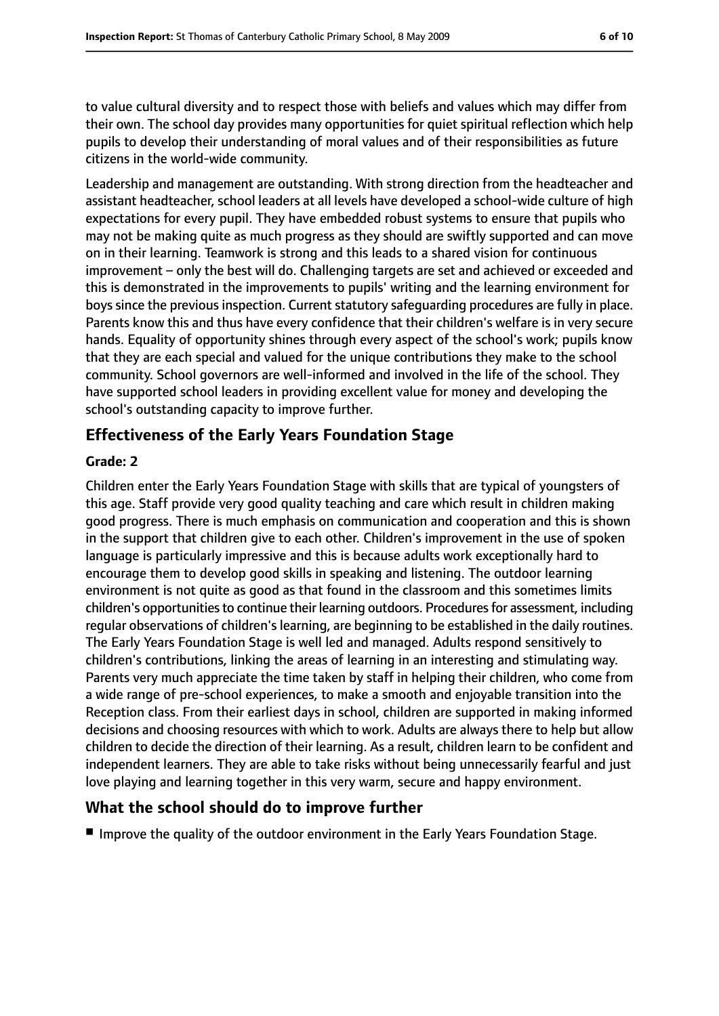to value cultural diversity and to respect those with beliefs and values which may differ from their own. The school day provides many opportunities for quiet spiritual reflection which help pupils to develop their understanding of moral values and of their responsibilities as future citizens in the world-wide community.

Leadership and management are outstanding. With strong direction from the headteacher and assistant headteacher, school leaders at all levels have developed a school-wide culture of high expectations for every pupil. They have embedded robust systems to ensure that pupils who may not be making quite as much progress as they should are swiftly supported and can move on in their learning. Teamwork is strong and this leads to a shared vision for continuous improvement – only the best will do. Challenging targets are set and achieved or exceeded and this is demonstrated in the improvements to pupils' writing and the learning environment for boys since the previous inspection. Current statutory safeguarding procedures are fully in place. Parents know this and thus have every confidence that their children's welfare is in very secure hands. Equality of opportunity shines through every aspect of the school's work; pupils know that they are each special and valued for the unique contributions they make to the school community. School governors are well-informed and involved in the life of the school. They have supported school leaders in providing excellent value for money and developing the school's outstanding capacity to improve further.

### **Effectiveness of the Early Years Foundation Stage**

#### **Grade: 2**

Children enter the Early Years Foundation Stage with skills that are typical of youngsters of this age. Staff provide very good quality teaching and care which result in children making good progress. There is much emphasis on communication and cooperation and this is shown in the support that children give to each other. Children's improvement in the use of spoken language is particularly impressive and this is because adults work exceptionally hard to encourage them to develop good skills in speaking and listening. The outdoor learning environment is not quite as good as that found in the classroom and this sometimes limits children's opportunities to continue their learning outdoors. Procedures for assessment, including regular observations of children's learning, are beginning to be established in the daily routines. The Early Years Foundation Stage is well led and managed. Adults respond sensitively to children's contributions, linking the areas of learning in an interesting and stimulating way. Parents very much appreciate the time taken by staff in helping their children, who come from a wide range of pre-school experiences, to make a smooth and enjoyable transition into the Reception class. From their earliest days in school, children are supported in making informed decisions and choosing resources with which to work. Adults are always there to help but allow children to decide the direction of their learning. As a result, children learn to be confident and independent learners. They are able to take risks without being unnecessarily fearful and just love playing and learning together in this very warm, secure and happy environment.

### **What the school should do to improve further**

■ Improve the quality of the outdoor environment in the Early Years Foundation Stage.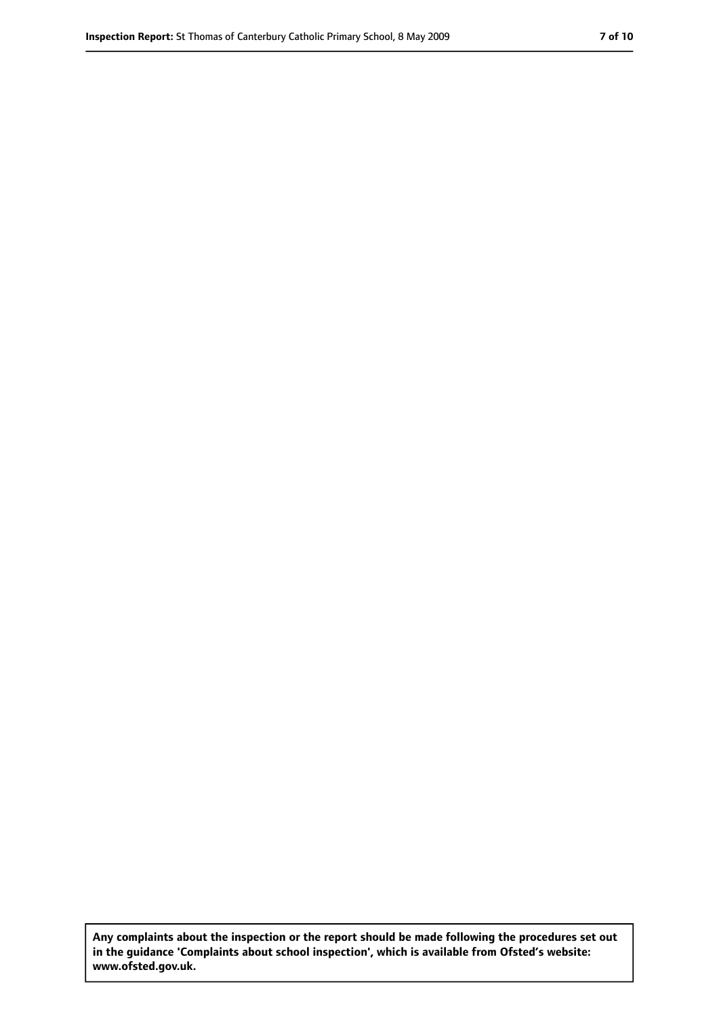**Any complaints about the inspection or the report should be made following the procedures set out in the guidance 'Complaints about school inspection', which is available from Ofsted's website: www.ofsted.gov.uk.**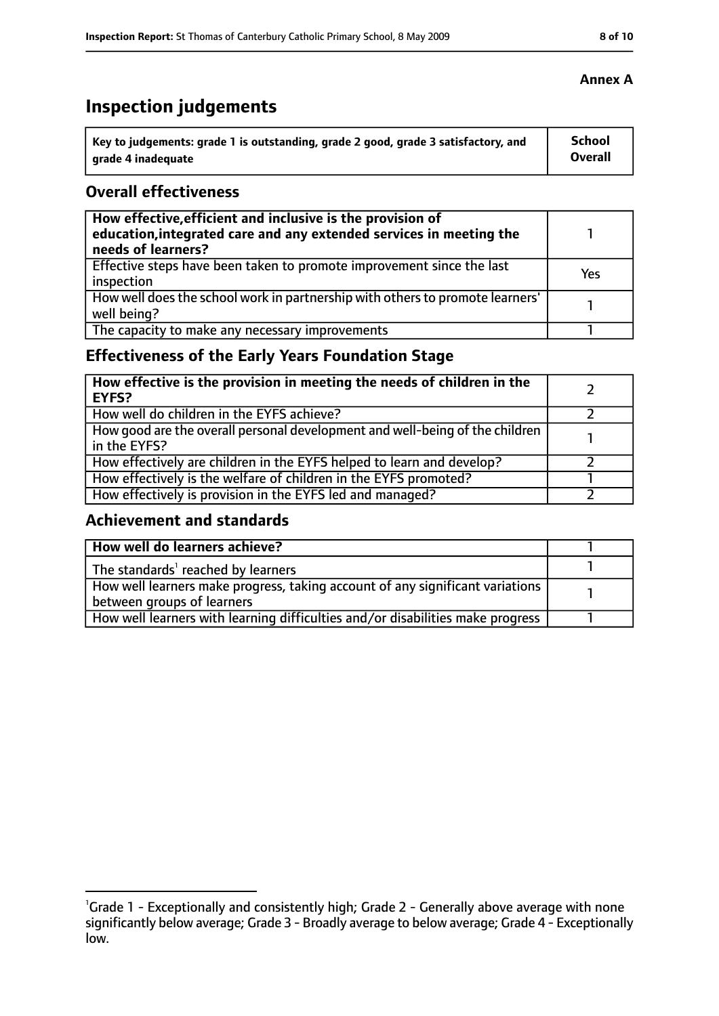# **Inspection judgements**

| Key to judgements: grade 1 is outstanding, grade 2 good, grade 3 satisfactory, and | <b>School</b> |
|------------------------------------------------------------------------------------|---------------|
| arade 4 inadequate                                                                 | Overall       |

### **Overall effectiveness**

| How effective, efficient and inclusive is the provision of<br>education, integrated care and any extended services in meeting the<br>needs of learners? |     |
|---------------------------------------------------------------------------------------------------------------------------------------------------------|-----|
| Effective steps have been taken to promote improvement since the last<br>inspection                                                                     | Yes |
| How well does the school work in partnership with others to promote learners'<br>well being?                                                            |     |
| The capacity to make any necessary improvements                                                                                                         |     |

### **Effectiveness of the Early Years Foundation Stage**

| How effective is the provision in meeting the needs of children in the<br>l EYFS?            |  |
|----------------------------------------------------------------------------------------------|--|
| How well do children in the EYFS achieve?                                                    |  |
| How good are the overall personal development and well-being of the children<br>in the EYFS? |  |
| How effectively are children in the EYFS helped to learn and develop?                        |  |
| How effectively is the welfare of children in the EYFS promoted?                             |  |
| How effectively is provision in the EYFS led and managed?                                    |  |

### **Achievement and standards**

| How well do learners achieve?                                                               |  |
|---------------------------------------------------------------------------------------------|--|
| $\vert$ The standards <sup>1</sup> reached by learners                                      |  |
| $\mid$ How well learners make progress, taking account of any significant variations $\mid$ |  |
| between groups of learners                                                                  |  |
| How well learners with learning difficulties and/or disabilities make progress              |  |

### **Annex A**

<sup>&</sup>lt;sup>1</sup>Grade 1 - Exceptionally and consistently high; Grade 2 - Generally above average with none significantly below average; Grade 3 - Broadly average to below average; Grade 4 - Exceptionally low.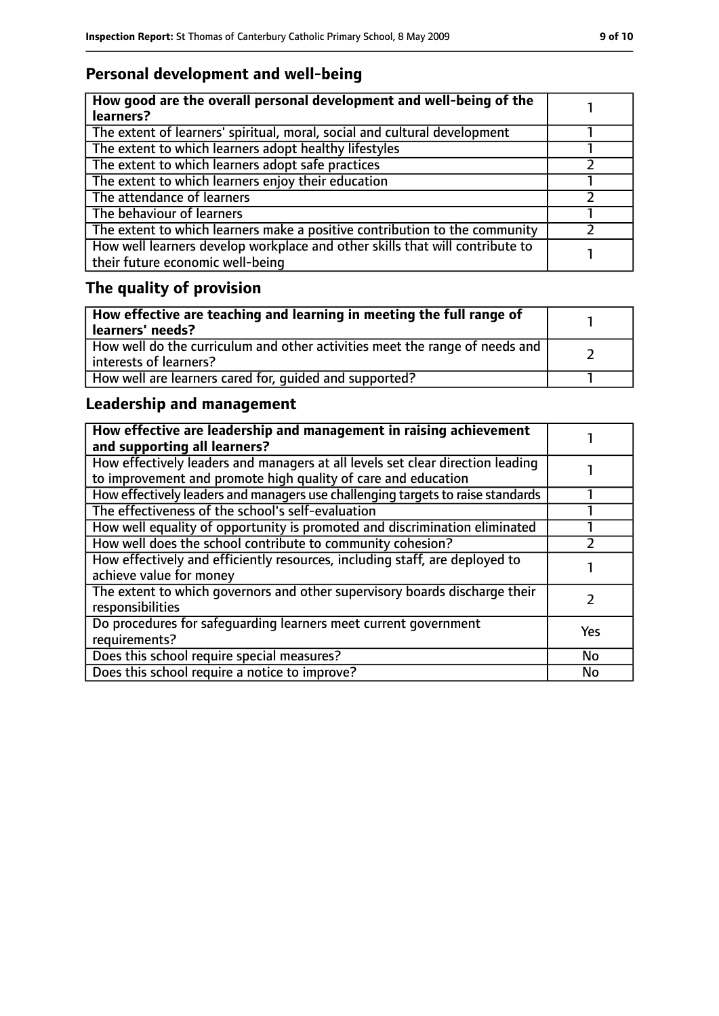### **Personal development and well-being**

| How good are the overall personal development and well-being of the<br>learners?                                 |  |
|------------------------------------------------------------------------------------------------------------------|--|
| The extent of learners' spiritual, moral, social and cultural development                                        |  |
| The extent to which learners adopt healthy lifestyles                                                            |  |
| The extent to which learners adopt safe practices                                                                |  |
| The extent to which learners enjoy their education                                                               |  |
| The attendance of learners                                                                                       |  |
| The behaviour of learners                                                                                        |  |
| The extent to which learners make a positive contribution to the community                                       |  |
| How well learners develop workplace and other skills that will contribute to<br>their future economic well-being |  |

# **The quality of provision**

| How effective are teaching and learning in meeting the full range of<br>learners' needs?              |  |
|-------------------------------------------------------------------------------------------------------|--|
| How well do the curriculum and other activities meet the range of needs and<br>interests of learners? |  |
| How well are learners cared for, quided and supported?                                                |  |

### **Leadership and management**

| How effective are leadership and management in raising achievement<br>and supporting all learners?                                              |            |
|-------------------------------------------------------------------------------------------------------------------------------------------------|------------|
| How effectively leaders and managers at all levels set clear direction leading<br>to improvement and promote high quality of care and education |            |
| How effectively leaders and managers use challenging targets to raise standards                                                                 |            |
| The effectiveness of the school's self-evaluation                                                                                               |            |
| How well equality of opportunity is promoted and discrimination eliminated                                                                      |            |
| How well does the school contribute to community cohesion?                                                                                      |            |
| How effectively and efficiently resources, including staff, are deployed to<br>achieve value for money                                          |            |
| The extent to which governors and other supervisory boards discharge their<br>responsibilities                                                  |            |
| Do procedures for safequarding learners meet current government<br>requirements?                                                                | <b>Yes</b> |
| Does this school require special measures?                                                                                                      | <b>No</b>  |
| Does this school require a notice to improve?                                                                                                   | No         |